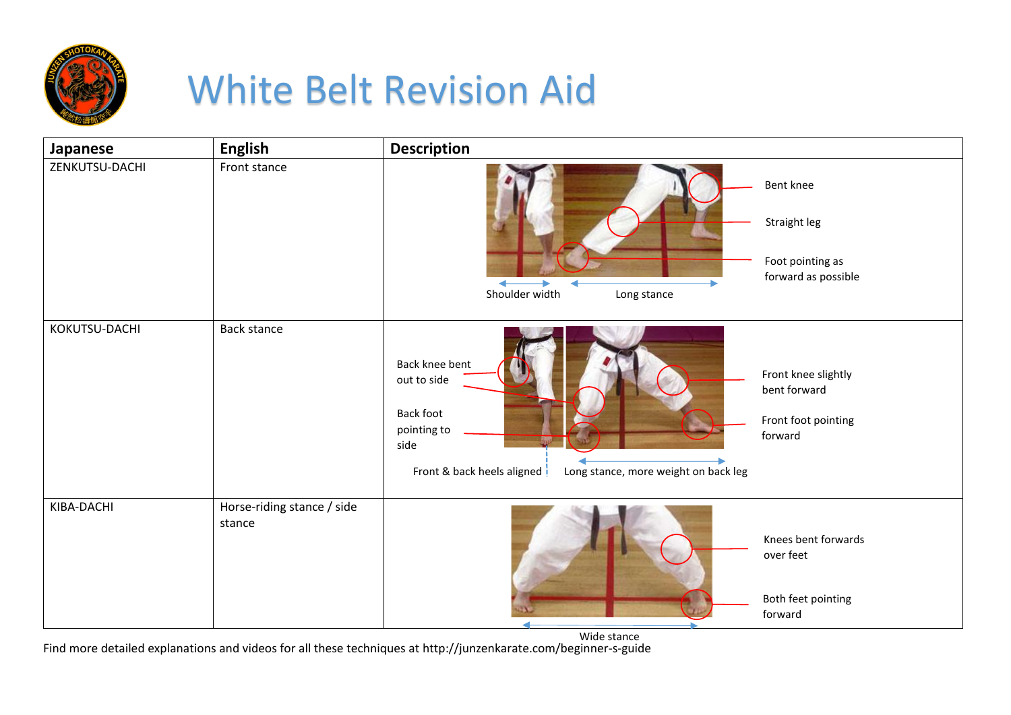

## White Belt Revision Aid

| Japanese       | <b>English</b>                       | <b>Description</b>                                                                                                                                                                                                        |
|----------------|--------------------------------------|---------------------------------------------------------------------------------------------------------------------------------------------------------------------------------------------------------------------------|
| ZENKUTSU-DACHI | Front stance                         | Bent knee                                                                                                                                                                                                                 |
|                |                                      | Straight leg                                                                                                                                                                                                              |
|                |                                      | Foot pointing as                                                                                                                                                                                                          |
|                |                                      | forward as possible<br>Shoulder width                                                                                                                                                                                     |
|                |                                      | Long stance                                                                                                                                                                                                               |
| KOKUTSU-DACHI  | <b>Back stance</b>                   | Back knee bent<br>Front knee slightly<br>out to side<br>bent forward<br><b>Back foot</b><br>Front foot pointing<br>pointing to<br>forward<br>side<br>Front & back heels aligned !<br>Long stance, more weight on back leg |
| KIBA-DACHI     | Horse-riding stance / side<br>stance | Knees bent forwards<br>over feet<br>Both feet pointing<br>forward                                                                                                                                                         |

Find more detailed explanations and videos for all these techniques at http://junzenkarate.com/beginner-s-guide Wide stance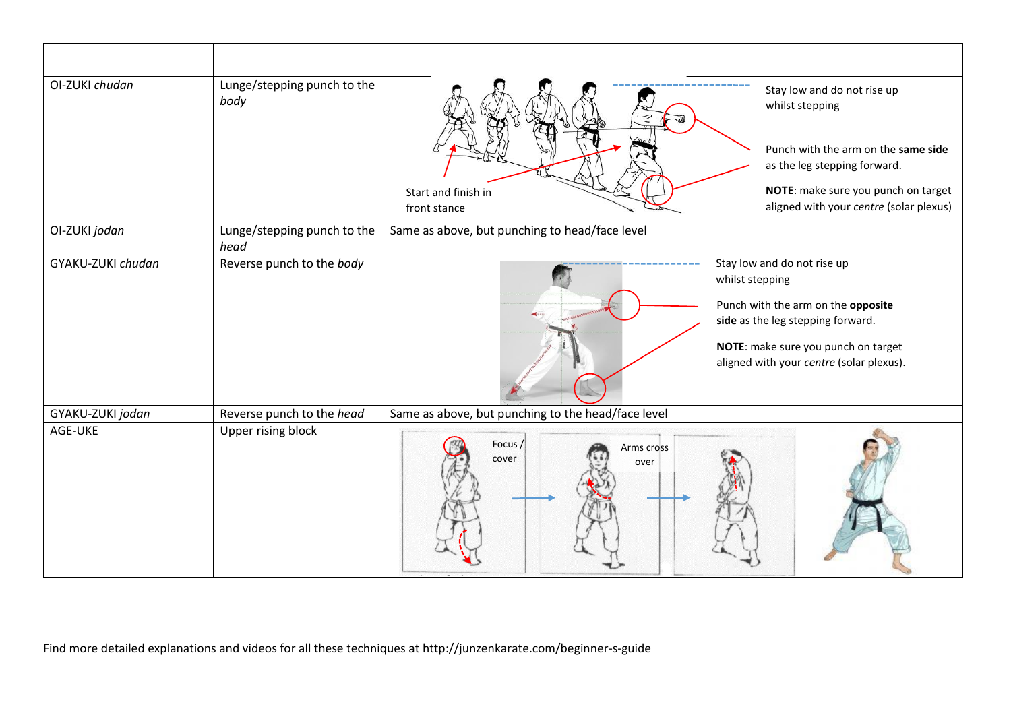| OI-ZUKI chudan    | Lunge/stepping punch to the<br>body | Stay low and do not rise up<br>whilst stepping<br>Punch with the arm on the same side                                                                                                                        |
|-------------------|-------------------------------------|--------------------------------------------------------------------------------------------------------------------------------------------------------------------------------------------------------------|
|                   |                                     | as the leg stepping forward.                                                                                                                                                                                 |
|                   |                                     | NOTE: make sure you punch on target<br>Start and finish in<br>aligned with your centre (solar plexus)<br>front stance                                                                                        |
| OI-ZUKI jodan     | Lunge/stepping punch to the<br>head | Same as above, but punching to head/face level                                                                                                                                                               |
| GYAKU-ZUKI chudan | Reverse punch to the body           | Stay low and do not rise up<br>whilst stepping<br>Punch with the arm on the opposite<br>side as the leg stepping forward.<br>NOTE: make sure you punch on target<br>aligned with your centre (solar plexus). |
| GYAKU-ZUKI jodan  | Reverse punch to the head           | Same as above, but punching to the head/face level                                                                                                                                                           |
| AGE-UKE           | Upper rising block                  | Focus /<br>Arms cross<br>cover<br>over                                                                                                                                                                       |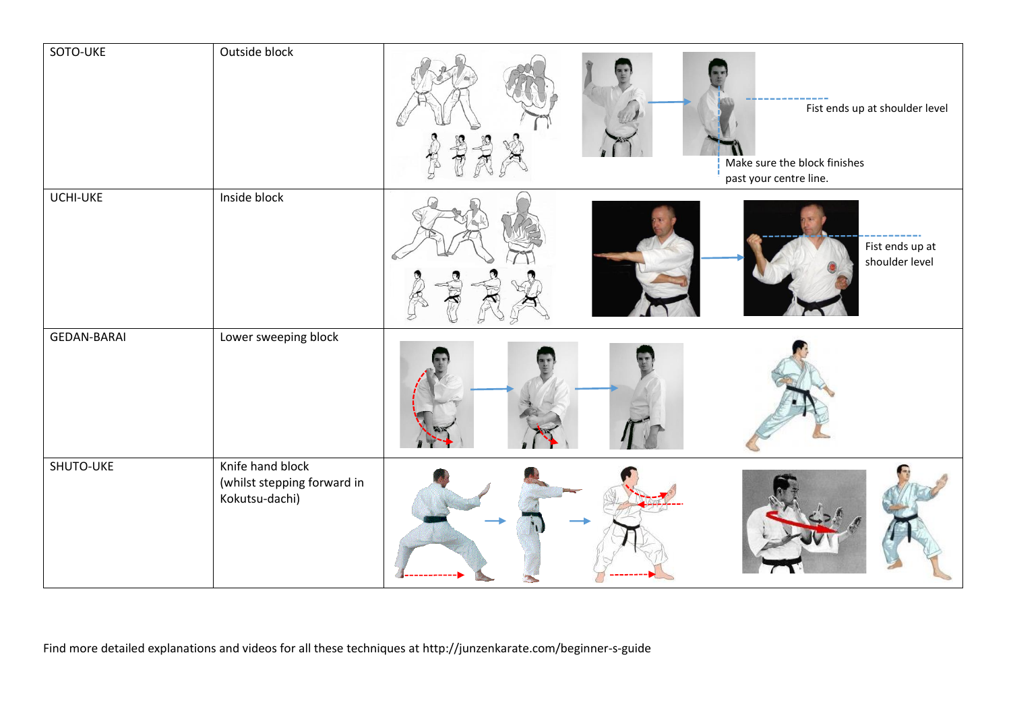| SOTO-UKE           | Outside block                                                     | Fist ends up at shoulder level<br>Make sure the block finishes<br>past your centre line. |
|--------------------|-------------------------------------------------------------------|------------------------------------------------------------------------------------------|
| UCHI-UKE           | Inside block                                                      | Fist ends up at<br>shoulder level                                                        |
| <b>GEDAN-BARAI</b> | Lower sweeping block                                              |                                                                                          |
| SHUTO-UKE          | Knife hand block<br>(whilst stepping forward in<br>Kokutsu-dachi) |                                                                                          |

Find more detailed explanations and videos for all these techniques at http://junzenkarate.com/beginner-s-guide